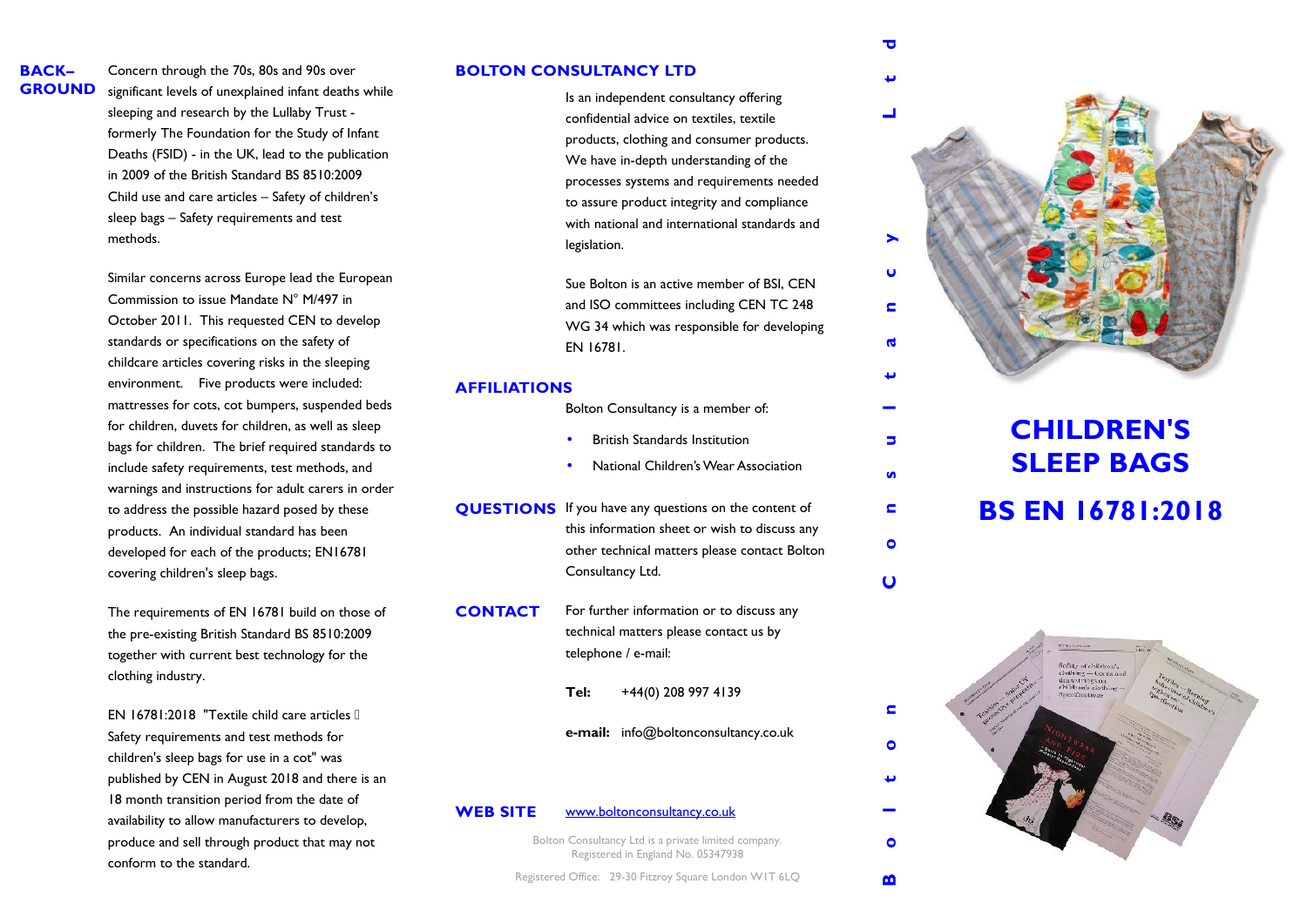# **BACK–**

**GROUND** significant levels of unexplained infant deaths while Concern through the 70s,80s and 90s over sleeping and research by the Lullaby Trust formerly The Foundation for the Study of Infant Deaths (FSID) - in the UK, lead to the publication in 2009 of the British Standard BS 8510:2009 Child use and care articles – Safety of children's sleep bags – Safety requirements and test methods.

> Similar concerns across Europe lead the European Commission to issue Mandate N° M/497 in October 2011. This requested CEN to develop standards or specifications on the safety of childcare articles covering risks in the sleeping environment. Five products were included: mattresses for cots, cot bumpers, suspended beds for children, duvets for children, as well as sleep bags for children. The brief required standards to include safety requirements, test methods, and warnings and instructions for adult carers in order to address the possible hazard posed by these products. An individual standard has been developed for each of the products; EN16781 covering children's sleep bags.

The requirements of EN 16781 build on those of the pre-existing British Standard BS 8510:2009 together with current best technology for the clothing industry.

EN 16781:2018 "Textile child care articles Safety requirements and test methods for children's sleep bags for use in a cot" was published by CEN in August 2018 and there is an 18 month transition period from the date of availability to allow manufacturers to develop, produce and sell through product that may not conform to the standard.

## **BOLTON CONSULTANCY LTD**

Is an independent consultancy offering confidential advice on textiles, textile products, clothing and consumer products. We have in-depth understanding of the processes systems and requirements needed to assure product integrity and compliance with national and international standards and legislation.

Sue Bolton is an active member of BSI, CEN and ISO committees including CEN TC 248 WG 34 which was responsible for developing EN 16781.

## **AFFILIATIONS**

- Bolton Consultancy is a member of:
- British Standards Institution
- National Children's Wear Association
- **QUESTIONS** If you have any questions on the content of this information sheet or wish to discuss any other technical matters please contact Bolton Consultancy Ltd.
- **CONTACT** For further information or to discuss any technical matters please contact us by telephone / e-mail:
	- **Tel:** +44(0) 208 997 4139
	- **e-mail:** info@boltonconsultancy.co.uk

# **WEB SITE** www.boltonconsultancy.co.uk

Bolton Consultancy Ltd is a private limited company. Registered in England No. 05347938

Registered Office: 29-30 Fitzroy Square London W1T 6LQ



# **CHILDREN'S SLEEP BAGS BS EN 16781:2018**

Б

 $\mathbf{u}$ 

 $\epsilon$ 

 $\bullet$ 

 $\mathbf{O}$ 

 $\blacksquare$ 

 $\bullet$ 

 $\bullet$ 

 $\mathbf{m}$